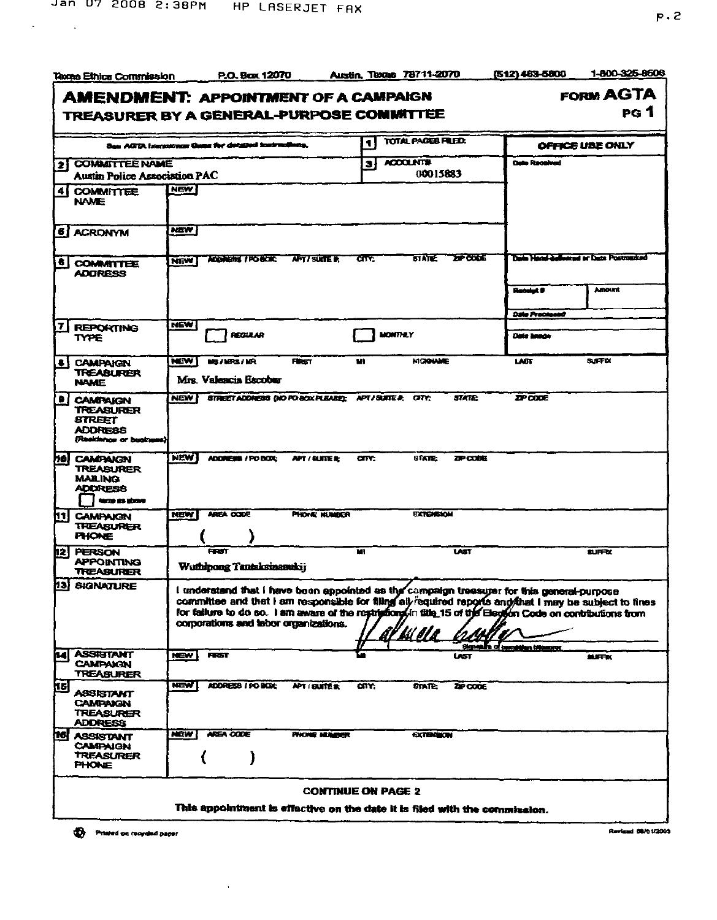$\sim$ 

 $\mathcal{L}^{\text{max}}_{\text{max}}$ 

|                                             | Taxas Ethica Commission                                                                                                                                                                                                                                                                                                                                                                              |             | P.O. Box 12070                                         |                          |                | Austin, Texas 78711-2070 |                 | (512) 463-5800              | 1-800-325-8606                                |  |
|---------------------------------------------|------------------------------------------------------------------------------------------------------------------------------------------------------------------------------------------------------------------------------------------------------------------------------------------------------------------------------------------------------------------------------------------------------|-------------|--------------------------------------------------------|--------------------------|----------------|--------------------------|-----------------|-----------------------------|-----------------------------------------------|--|
| <b>AMENDMENT: APPOINTMENT OF A CAMPAIGN</b> |                                                                                                                                                                                                                                                                                                                                                                                                      |             |                                                        |                          |                |                          |                 | <b>FORM AGTA</b>            |                                               |  |
|                                             | PG 1<br><b>TREASURER BY A GENERAL-PURPOSE COMMITTEE</b>                                                                                                                                                                                                                                                                                                                                              |             |                                                        |                          |                |                          |                 |                             |                                               |  |
|                                             |                                                                                                                                                                                                                                                                                                                                                                                                      |             | One AGIA Inepresent Gues for detailed instructions.    |                          | $\blacksquare$ | TOTAL PAGEB FLED:        |                 |                             | OFFICE USE ONLY                               |  |
|                                             | 2 COMMITTEE NAME<br>Austin Police Association PAC                                                                                                                                                                                                                                                                                                                                                    |             |                                                        |                          | э              | ACCOUNTS<br>00015883     |                 | <b>Cuite Received</b>       |                                               |  |
|                                             | 4 COMMITTEE                                                                                                                                                                                                                                                                                                                                                                                          | <b>NEW</b>  |                                                        |                          |                |                          |                 |                             |                                               |  |
|                                             | <b>NAME</b>                                                                                                                                                                                                                                                                                                                                                                                          |             |                                                        |                          |                |                          |                 |                             |                                               |  |
|                                             | <b>6</b> ACRONYM                                                                                                                                                                                                                                                                                                                                                                                     | NEW         |                                                        |                          |                |                          |                 |                             |                                               |  |
| ि।                                          | <b>COMMITTEE</b><br><b>ADORESS</b>                                                                                                                                                                                                                                                                                                                                                                   | <b>NEW</b>  | <b>ACCRESS / POBLE</b>                                 | <b>AFTI SUITE K</b>      | ਗਾ             | <b>STATE</b>             | <b>ZP CODE</b>  |                             | <b>Date Haral-balwared or Date Postmarked</b> |  |
|                                             |                                                                                                                                                                                                                                                                                                                                                                                                      |             |                                                        |                          |                |                          |                 | Rateigt 9                   | <b>Amount</b>                                 |  |
|                                             |                                                                                                                                                                                                                                                                                                                                                                                                      | <b>NEW</b>  |                                                        |                          |                |                          |                 | <b>Date Processed</b>       |                                               |  |
| 7.                                          | <b>REPORTING</b><br>TYPE                                                                                                                                                                                                                                                                                                                                                                             |             | <b>RECILLAR</b>                                        |                          |                | <b>MONTHLY</b>           |                 | Date Impor-                 |                                               |  |
| $\bullet$                                   | <b>CAMPAIGN</b><br><b>TREABLIRER</b><br><b>NAME</b>                                                                                                                                                                                                                                                                                                                                                  | NEW         | <b>MS/MRS/MR</b><br>Mrs. Valencia Escobar              | <b>FRIST</b>             | w              | <b>MODIANE</b>           |                 | <b>LAST</b>                 | <b>SUFFIX</b>                                 |  |
| H                                           | <b>CAMPAIGN</b><br>TREASURER<br><b>STREET</b><br><b>ADDRESS</b><br>(Realdshop or business)                                                                                                                                                                                                                                                                                                           | <b>NEW</b>  | STREET ADDRESS (NO PO BOX PLEASE). APT / SUITE & CITY; |                          |                |                          | <b>STATE:</b>   | <b>ZPCODE</b>               |                                               |  |
| ho)                                         | <b>CAMPAIGN</b><br><b>TREASURER</b><br><b>MAILING</b><br><b>ADDRESS</b><br>terne as above                                                                                                                                                                                                                                                                                                            | <b>NEW</b>  | ADDRESS / PO BOX:                                      | <b>APT / SUITE &amp;</b> | an.            | <b>STATE:</b>            | ZP CODE         |                             |                                               |  |
| <u>hil</u>                                  | <b>CAMPAIGN</b><br><b>TREASURER</b><br><b>PHONE</b>                                                                                                                                                                                                                                                                                                                                                  | NEW         | <b>AREA CODE</b>                                       | PHONE MUMBER             |                | <b>EXTENSION</b>         |                 |                             |                                               |  |
| 囟                                           | <b>PERSON</b><br><b>APPOINTING</b><br>TREASURER                                                                                                                                                                                                                                                                                                                                                      |             | <b>FRAT</b><br>Wuthipong Tantaksinanukii               |                          | м              |                          | <b>Ukst</b>     |                             | <b>SUFF IX</b>                                |  |
| həl                                         | <b>SIGNATURE</b><br>I understand that I have been appointed as the campaign treesurer for this general-purpose<br>committee and that I am responsible for filing all required reports and that I may be subject to fines<br>for failure to do so. I am aware of the restrictions in title 15 of the Beaton Code on contributions from<br>corporations and labor organizations.<br><u>ål til elle</u> |             |                                                        |                          |                |                          |                 |                             |                                               |  |
| <u>ig</u>                                   | <b>ASSISTANT</b><br><b>CAMPAIGN</b><br><b>TREASURER</b>                                                                                                                                                                                                                                                                                                                                              | <b>NEW</b>  | <b>FRST</b>                                            |                          |                |                          | LAST            | <b>Contraction Concerns</b> | <b>SUFFIX</b>                                 |  |
| 砢                                           | <b>ASSISTANT</b><br>CAMPAIGN<br>TREASURER<br><b>ADDRESS</b>                                                                                                                                                                                                                                                                                                                                          | <b>NEW</b>  | ADDRESS / PO BOX:                                      | <b>APT I GUITE &amp;</b> | am.            | <b>STATE:</b>            | <b>ZIP CODE</b> |                             |                                               |  |
|                                             | <b>16 ASSISTANT</b><br><b>CAMPAIGN</b><br><b>TREASURER</b><br><b>PHONE</b>                                                                                                                                                                                                                                                                                                                           | <b>NERV</b> | <b>AREA CODE</b>                                       | <b>PHONE NUMBER</b>      |                | <b>EXTENSION</b>         |                 |                             |                                               |  |
|                                             | <b>CONTINUE ON PAGE 2</b><br>This appointment is effective on the date it is filed with the commission.                                                                                                                                                                                                                                                                                              |             |                                                        |                          |                |                          |                 |                             |                                               |  |

<sup>4</sup> <sup>Printed</sup> on recycled paper

 $\alpha$ 

Revised 09/01/2009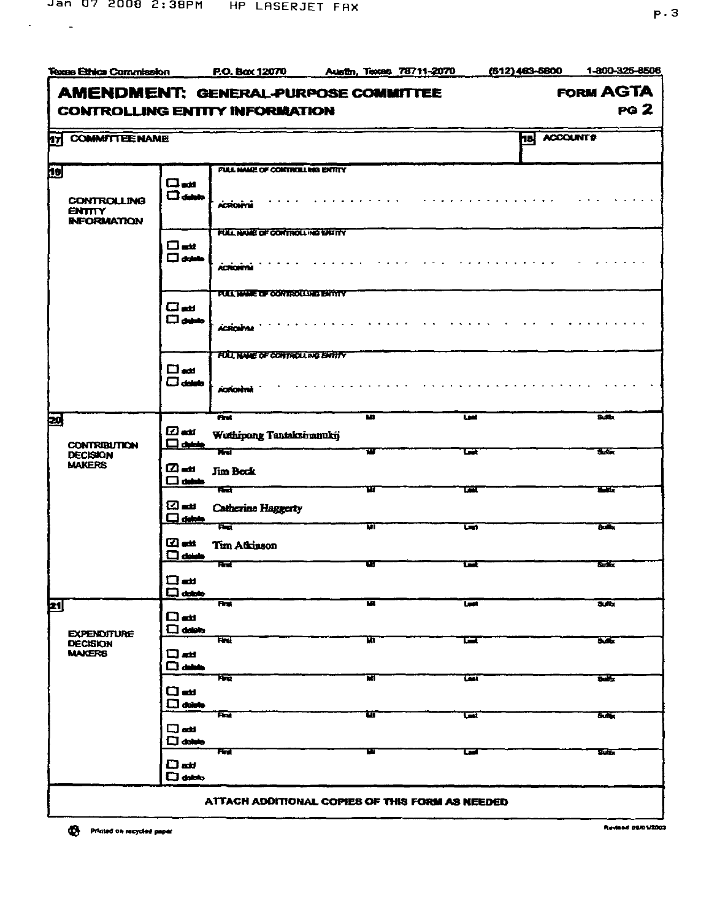$\sim$   $\sim$ 

 $\tilde{\phantom{a}}$ 

|  | p.3 |
|--|-----|
|  |     |

| Texas Ethica Commission                                      |                                                                    | <b>P.O. Box 12070</b>                               | Austin, Texas 78711-2070                        | $(512)463 - 5800$               | 1-800-325-8506                 |
|--------------------------------------------------------------|--------------------------------------------------------------------|-----------------------------------------------------|-------------------------------------------------|---------------------------------|--------------------------------|
| <b>CONTROLLING ENTITY INFORMATION</b>                        |                                                                    |                                                     | <b>AMENDMENT: GENERAL-PURPOSE COMMITTEE</b>     |                                 | <b>FORM AGTA</b><br>$PQ$ 2     |
| ान<br><b>COMMITTEE NAME</b>                                  |                                                                    |                                                     |                                                 |                                 | <b>HB ACCOUNT#</b>             |
|                                                              |                                                                    |                                                     |                                                 |                                 |                                |
| 団<br><b>CONTROLLING</b><br><b>ENTITY</b>                     | □ᡂ<br>$\square$ dubb                                               | FULL MAME OF CONTROLLING ENTITY<br>ACROVINI         |                                                 |                                 |                                |
| <b>INFORMATION</b>                                           | பெ⊯<br>$\square$ duits                                             | FULL NAME OF CONTROLLING BRITTY<br><b>ACROSIVAL</b> |                                                 |                                 |                                |
|                                                              | $\Box$ ad<br>منضور ل                                               | <b>FULL IN ME OF CONTROLLING ENTITY</b><br>ACRONAL  |                                                 |                                 |                                |
|                                                              | $\Box$ ad<br>$\square$ delate                                      | FULL NAME OF CONTROLLING ENTITY<br>ACRONINA         |                                                 |                                 |                                |
| 國<br><b>CONTRIBUTION</b><br><b>DECISION</b><br><b>MAKERS</b> | $\boldsymbol{\Xi}$ at $\boldsymbol{\Xi}$<br><del>جادا</del> ت ا    | <b>FEW</b><br>Wuthipong Tantaksinanukij<br>ਸਰ       | w<br>ŕ.                                         | <b>Luck</b><br>یما              | <b>Suffer</b><br><b>Sufter</b> |
|                                                              | $\mathbf{\Omega}$ at $\mathbf{\Omega}$<br>$\Box$ delate<br>⊡≖      | <b>Jim Back</b><br>ਸਕ<br><b>Catherine Haggerty</b>  | π                                               | ष्टा                            | बर                             |
|                                                              | <b>다 delitio</b><br>$\mathbf{a}$ and $\mathbf{b}$<br>$\Box$ delate | ਸਕ<br>Tim Atkinson<br>म्ब                           | w<br>w                                          | $\overline{\mathbf{u}}$<br>ष्टर | <b>Bullet</b><br>莅长            |
| 团                                                            | 口一<br>$\Box$ delate                                                | F                                                   | w                                               | <b>Let</b>                      | <b>Buffer</b>                  |
| <b>EXPENDITURE</b><br><b>DECISION</b><br><b>MAKERS</b>       | ᄗᇸ<br>$\Box$ databe<br>$\Box =$                                    | स्त्रि                                              | ИI                                              | ष्टा                            | <b>Suite</b>                   |
|                                                              | □ ann<br>$\Box$ ad<br>$\Box$ dolots                                | मन                                                  | ਜ                                               | ख                               | $2x + 1$                       |
|                                                              | ⊡ addi<br>$\Box$ delate                                            | ਸਕ<br>म्बर                                          | षा<br>РŦ                                        | تعصا<br>प्रा                    | <b>Buffer</b><br>ञ्जन          |
|                                                              | பெய<br>$\Box$ dolots                                               |                                                     |                                                 |                                 |                                |
|                                                              |                                                                    |                                                     | ATTACH ADDITIONAL COPIES OF THIS FORM AS NEEDED |                                 |                                |

Printed on recycled paper

Revised 09/01/2003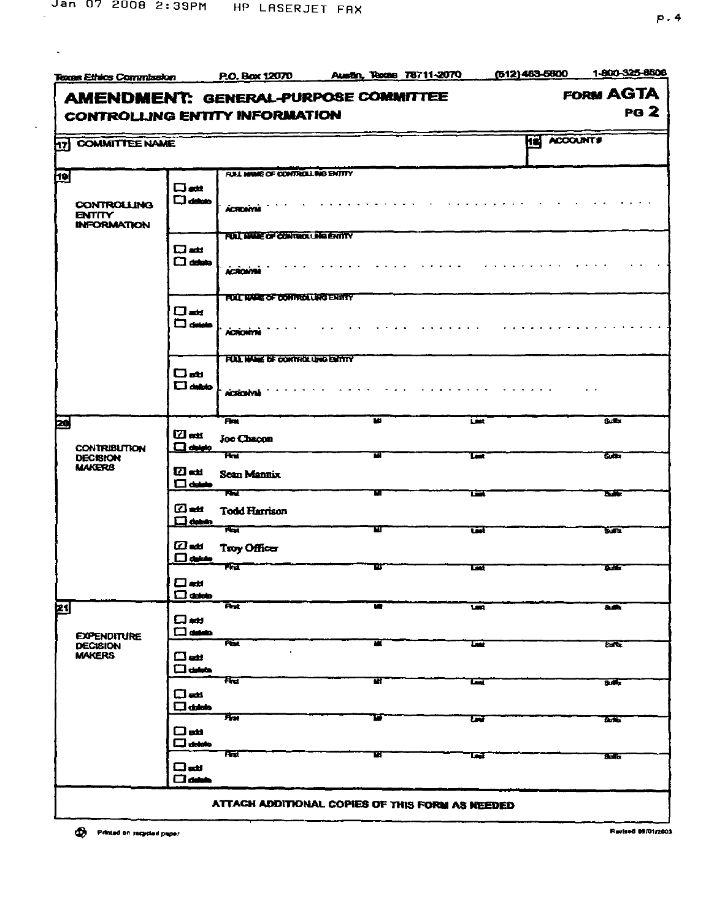$\mathbf{v}$ 

Printed on registed paper

| <b>Texas Ethics Commission</b>                            |                                               | P.O. Box 12070                    | Austin, Texas 78711-2070                        |                         | (512) 463-5800        | 1-800-325-8506   |
|-----------------------------------------------------------|-----------------------------------------------|-----------------------------------|-------------------------------------------------|-------------------------|-----------------------|------------------|
|                                                           |                                               |                                   | <b>AMENDMENT: GENERAL-PURPOSE COMMITTEE</b>     |                         |                       | <b>FORM AGTA</b> |
| <b>CONTROLLING ENTITY INFORMATION</b>                     |                                               |                                   |                                                 |                         |                       | <b>PG 2</b>      |
| <b>COMMITTEE NAME</b><br>57                               |                                               |                                   |                                                 |                         | <b>ACCOUNT#</b><br>FT |                  |
|                                                           |                                               |                                   |                                                 |                         |                       |                  |
| छि                                                        |                                               | FULL NAME OF CONTROLLING ENTITY   |                                                 |                         |                       |                  |
| <b>CONTROLLING</b><br><b>ENTITY</b><br><b>INFORMATION</b> | பென<br>$\Box$ ddab                            | <b>ACRONAL</b>                    |                                                 |                         |                       |                  |
|                                                           |                                               | FULL INNE OF CONTROL ING ENTITY   |                                                 |                         |                       |                  |
|                                                           | $\Box$ add<br>$\square$ deluto                | ACROMAL                           |                                                 |                         |                       |                  |
|                                                           |                                               | FULL MARE OF CONTROLLING ENTITY   |                                                 |                         |                       |                  |
|                                                           | □--<br>$\Box$ detain                          | ACROMITM                          |                                                 |                         |                       |                  |
|                                                           |                                               | FULL IN LIE DE CONTROL UNG ENTITY |                                                 |                         |                       |                  |
|                                                           | $\Box$ abi<br>$\Box$ definite                 | ActionNal                         |                                                 |                         |                       |                  |
| þo                                                        |                                               | Final                             | $\overline{\mathbf{w}}$                         | <b>Let</b>              |                       | <b>Suffer</b>    |
| <b>CONTRIBUTION</b>                                       | 四血<br>$\Box$ duate                            | Joe Chacon                        |                                                 |                         |                       |                  |
| <b>DECISION</b><br><b>MAKERS</b>                          | 四型<br>$\square$ databe                        | स्ति<br><b>Sean Mannix</b>        | ш                                               | ᇦ                       |                       | द्वारा           |
|                                                           |                                               | ਲ                                 | ч                                               | ਯ                       |                       | ब्रह             |
|                                                           | பேஊ<br>$\Box$ delate                          | <b>Todd Harrison</b>              |                                                 |                         |                       |                  |
|                                                           | பென<br>$\Box$ delaie                          | ਸਦ<br>Troy Officer                | ਸ਼ਾ                                             | प्त                     |                       | <b>Built</b>     |
|                                                           |                                               | ਸਭ                                | w                                               | ШŦ                      |                       | काट              |
|                                                           | ᄆᇓ<br>$\square$ details                       |                                   |                                                 |                         |                       |                  |
| iz 1<br><b>EXPENDITURE</b>                                | $\square \blacktriangleleft$<br>$\Box$ detain | स्त्रि                            | M.                                              | $\overline{\mathbf{u}}$ |                       | <b>ALLEY</b>     |
| <b>DECISION</b>                                           |                                               | स्त्र                             |                                                 | تعتا                    |                       | क्रादि           |
| <b>MAKERS</b>                                             | $\Box$ and<br>□                               |                                   |                                                 |                         |                       |                  |
|                                                           | ⊡≖<br>$\Box$ dalala                           | स्त्रह                            | ш                                               | آهآ                     |                       | <u>क अन्दर</u>   |
|                                                           |                                               | मन                                | τ                                               | ਯ                       |                       | <b>Buffer</b>    |
|                                                           | ◻Ⴛ<br>$\Box$ delate                           |                                   |                                                 |                         |                       |                  |
|                                                           | □≖<br>$\Box$ dahah                            | स्त्रह                            | шŦ                                              | Lair                    |                       | डन्ड             |
|                                                           |                                               |                                   | ATTACH ADDITIONAL COPIES OF THIS FORM AS NEEDED |                         |                       |                  |

1-800-325-8506

Revised 09/01/2003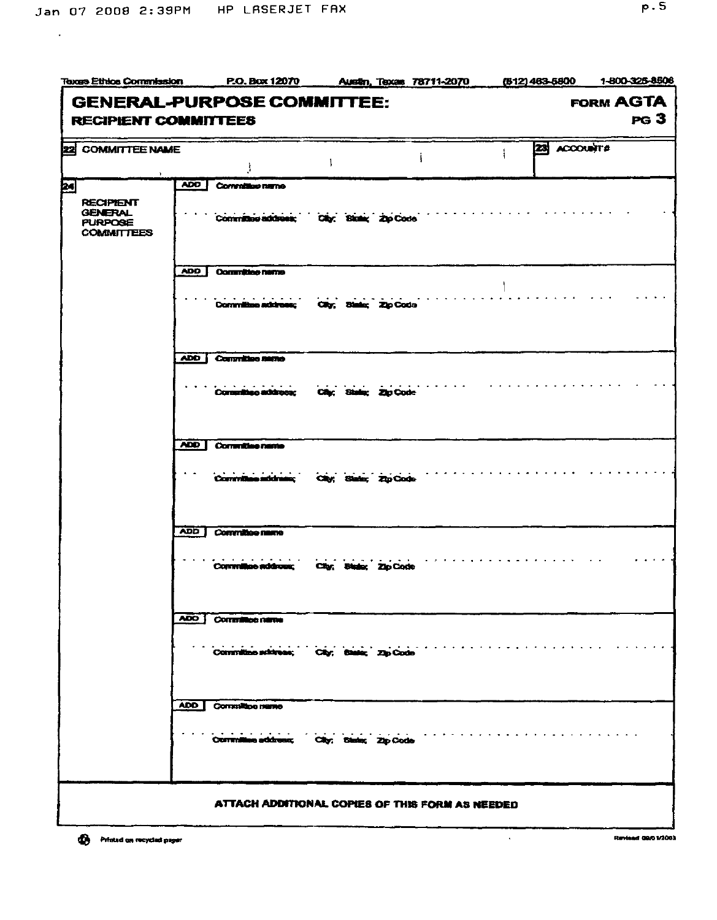$\sim$ 

| <b>Texas Ethica Commission</b>                                                                          |            | <b>P.O. Box 12070</b>                               |  |                        | Austin, Texas 78711-2070     |  | (612) 463-5800 |                 | 1-800-325-8506 |
|---------------------------------------------------------------------------------------------------------|------------|-----------------------------------------------------|--|------------------------|------------------------------|--|----------------|-----------------|----------------|
| <b>GENERAL-PURPOSE COMMITTEE:</b><br><b>FORM AGTA</b><br>pg <sub>3</sub><br><b>RECIPIENT COMMITTEES</b> |            |                                                     |  |                        |                              |  |                |                 |                |
|                                                                                                         |            |                                                     |  |                        |                              |  |                |                 |                |
| <b>22 COMMITTEE NAME</b>                                                                                |            |                                                     |  |                        |                              |  | 23             | <b>ACCOUNTS</b> |                |
| ×                                                                                                       | <b>ADD</b> | Committee runne                                     |  |                        |                              |  |                |                 |                |
| <b>RECIPIENT</b><br><b>GENERAL</b><br><b>PURPOSE</b><br><b>COMMITTEES</b>                               |            | $\sigma$ , and $\sigma$ , and<br>Committee address: |  | City, Sizale; 21p Code |                              |  |                |                 |                |
|                                                                                                         | <b>ADD</b> | Committee name                                      |  |                        |                              |  |                |                 |                |
|                                                                                                         |            | Committee address:                                  |  | City, States, Zip Code |                              |  |                |                 |                |
|                                                                                                         | ADD 1      | <b>Committee name</b>                               |  |                        |                              |  |                |                 |                |
|                                                                                                         |            | <b>All All Angeles</b><br>Contactibeo address:      |  | City: State: Zip Code  |                              |  |                |                 |                |
|                                                                                                         | ADD ]      | Correntiae name                                     |  |                        |                              |  |                |                 |                |
|                                                                                                         |            | Committee address:                                  |  | City; States; ZipCode- |                              |  |                |                 |                |
|                                                                                                         | <b>ADD</b> | Committee name                                      |  |                        |                              |  |                |                 |                |
|                                                                                                         |            | Committee address;                                  |  | City; Stude; Zip Code  |                              |  |                |                 |                |
|                                                                                                         |            |                                                     |  |                        |                              |  |                |                 |                |
|                                                                                                         |            | ADD Committee name                                  |  |                        |                              |  |                |                 |                |
|                                                                                                         |            | Committee socioes;                                  |  | City; Statis; Zip Code | <b><i>Charles Arrest</i></b> |  |                |                 |                |
|                                                                                                         | ADD.       | Committee name                                      |  |                        |                              |  |                |                 |                |
|                                                                                                         |            | Committee address; City; State; Zip Code            |  |                        |                              |  |                |                 |                |
|                                                                                                         |            | ATTACH ADDITIONAL COPIES OF THIS FORM AS NEEDED     |  |                        |                              |  |                |                 |                |

Puta id an recyi 45 - pag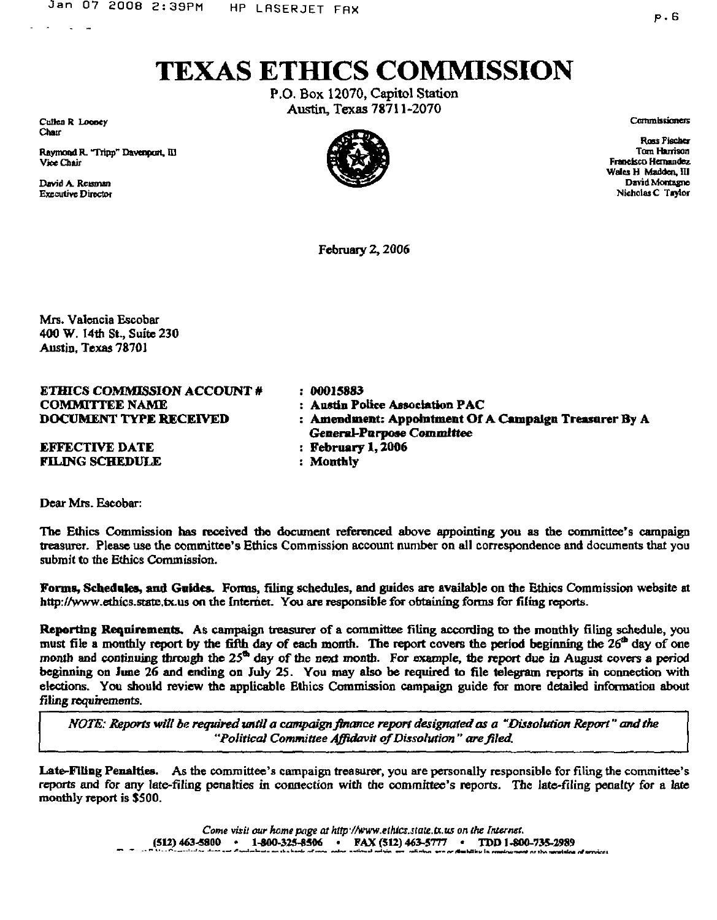## TEXAS ETHICS COMMISSION

P.O. Box 12070, Capitol Station Austin, Texas 78711-2070



February 2, 2006

Culten R Looney Commissioners and the commissioners of the commissioners of the commissioners of the commissioners of the commissioners of the commissioners of the commissioners of the commissioners of the commissioners of

Ross Fischer Reymond R. "Tripp" Davenport, III for the state of the state of the state of the state of the state of the state of the state of the state of the state of the state of the state of the state of the state of the state of th Vice Chair Jawangur, 11 (1989)<br>Vice Chair Francisco Hernandez<br>Jayangur, Jayangur, Jayangur, Jayangur, Jayangur, Jayangur, Jayangur, Jayangur, Jayangur, Jayangur, Jayangur, Wales H Madden, III<br>David Montagne David A. Rcusman **David Monttagnc** David Monttagnc Executive Director Nicholas C Taylor

Mrs. Valencia Escobar 400 W. 14th St., Suite 230 Austin, Texas 78701

ETHICS COMMISSION ACCOUNT # : 00015883<br>COMMITTEE NAME : Austin Po

EFFECTIVE DATE : February 1, 2006<br>
FILING SCHEDULE : Monthly **FILING SCHEDULE** 

: Austin Police Association PAC DOCUMENT TYPE RECEIVED : Amendment: Appointment Of A Campaign Treasurer By A General-Purpose Committee

Dear Mrs. Escobar:

The Ethics Commission has received the document referenced above appointing you as the committee's campaign treasurer. Please use the committee's Ethics Commission account number on all correspondence and documents that you submit to the Ethics Commission.

Forms, Schedules, and Guides, Forms, filing schedules, and guides are available on the Ethics Commission website at http://www.ethics.state.tx.us on the Internet. You are responsible for obtaining forms for filing reports.

Reporting Requirements. As campaign treasurer of a committee filing according to the monthly filing schedule, you must file a monthly report by the fifth day of each month. The report covers the period beginning the 26<sup>th</sup> day of one month and continuing through the 25<sup>th</sup> day of the next month. For example, the report due in August covers a period beginning on lime 26 and ending on July 25. You may also be required to file telegram reports in connection with elections. You should review the applicable Ethics Commission campaign guide for more detailed information about filing requirements.

NOTE: Reports will be required until a campaign finance report designated as a "Dissolution Report" and the "Political Committee Affidavit of Dissolution " are filed.

Late-Filing Penalties. As the committee's campaign treasurer, you are personally responsible for filing the committee's reports and for any late-filing penalties in connection with the committee's reports. The late-filing penalty for a late monthly report is \$500.

> Come visit our home page at http://www.ethtcs.state.tx.us on the Internet. (512) 463-5800 • 1-MO-32S-8506 • FAX (512) 463-5777 • TDD 1-800-735-2989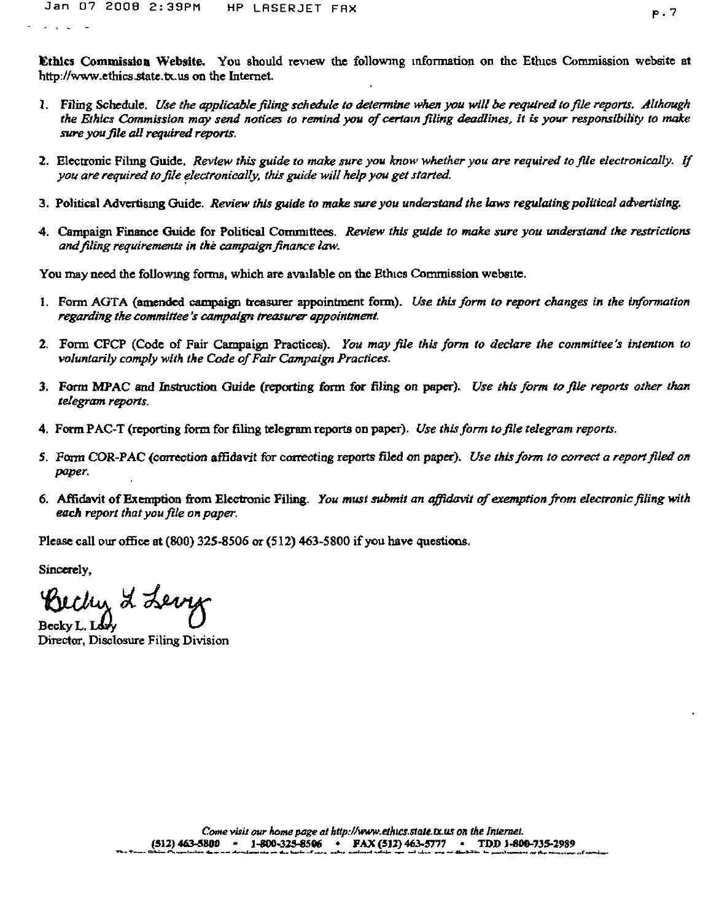Ethics Commission Website. You should review the following information on the Ethics Commission website at http://www.ethics.state.tx.us on the Internet.

- 1. Filing Schedule. Use the applicable filing schedule to determine when you will be required to file reports. Although the Ethics Commission may send notices to remind you of certain filing deadlines, it is your responsibility to make sure you file all required reports.
- 2. Electronic Filing Guide. Review this guide to make sure you know whether you are required to file electronically. If you are required to file electronically, this guide will help you get started.
- 3. Political Advertising Guide. Review this guide to make sure you understand the laws regulating political advertising.
- 4. Campaign Finance Guide for Political Committees. Review this guide to make sure you understand the restrictions and filing requirements in the campaign finance law.

You may need the following forms, which are available on the Ethics Commission website.

- 1. Form AOTA (amended campaign treasurer appointment form). Use this form to report changes in the information regarding the committee 's campaign treasurer appointment
- 2. Form CFCP (Code of Fair Campaign Practices). You may file this form to declare the committee's intention to voluntarily comply with the Code of Fair Campaign Practices.
- 3. Form MPAC and Instruction Guide (reporting form for filing on paper). Use this form to file reports other than telegram reports.
- 4. Form PAC-T (reporting form for filing telegram reports on paper). Use this form to file telegram reports.
- 5. Form COR-PAC (correction affidavit for correcting reports filed on paper). Use this form to correct a report filed on paper.
- 6. Affidavit of Exemption from Electronic Filing. You must submit an affidavit of exemption from electronic filing with each report that you fife on paper.

Please call our office at (800) 325-8506 or (512) 463-5800 if you have questions.

Sincerely,

Jechn L Levy Becky L.

Director, Disclosure Filing Division